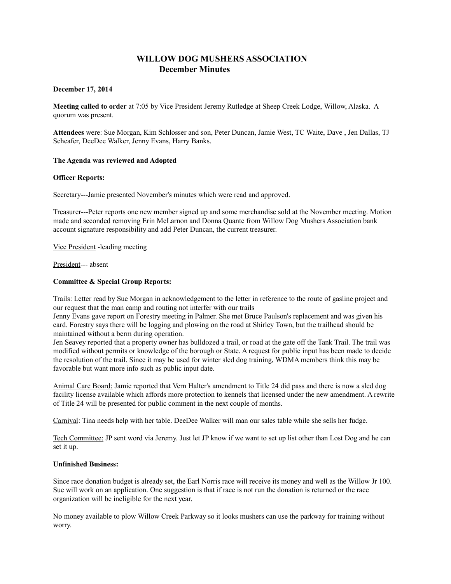# **WILLOW DOG MUSHERS ASSOCIATION December Minutes**

## **December 17, 2014**

**Meeting called to order** at 7:05 by Vice President Jeremy Rutledge at Sheep Creek Lodge, Willow, Alaska. A quorum was present.

**Attendees** were: Sue Morgan, Kim Schlosser and son, Peter Duncan, Jamie West, TC Waite, Dave , Jen Dallas, TJ Scheafer, DeeDee Walker, Jenny Evans, Harry Banks.

### **The Agenda was reviewed and Adopted**

#### **Officer Reports:**

Secretary---Jamie presented November's minutes which were read and approved.

Treasurer---Peter reports one new member signed up and some merchandise sold at the November meeting. Motion made and seconded removing Erin McLarnon and Donna Quante from Willow Dog Mushers Association bank account signature responsibility and add Peter Duncan, the current treasurer.

Vice President -leading meeting

President--- absent

# **Committee & Special Group Reports:**

Trails: Letter read by Sue Morgan in acknowledgement to the letter in reference to the route of gasline project and our request that the man camp and routing not interfer with our trails

Jenny Evans gave report on Forestry meeting in Palmer. She met Bruce Paulson's replacement and was given his card. Forestry says there will be logging and plowing on the road at Shirley Town, but the trailhead should be maintained without a berm during operation.

Jen Seavey reported that a property owner has bulldozed a trail, or road at the gate off the Tank Trail. The trail was modified without permits or knowledge of the borough or State. A request for public input has been made to decide the resolution of the trail. Since it may be used for winter sled dog training, WDMA members think this may be favorable but want more info such as public input date.

Animal Care Board: Jamie reported that Vern Halter's amendment to Title 24 did pass and there is now a sled dog facility license available which affords more protection to kennels that licensed under the new amendment. A rewrite of Title 24 will be presented for public comment in the next couple of months.

Carnival: Tina needs help with her table. DeeDee Walker will man our sales table while she sells her fudge.

Tech Committee: JP sent word via Jeremy. Just let JP know if we want to set up list other than Lost Dog and he can set it up.

#### **Unfinished Business:**

Since race donation budget is already set, the Earl Norris race will receive its money and well as the Willow Jr 100. Sue will work on an application. One suggestion is that if race is not run the donation is returned or the race organization will be ineligible for the next year.

No money available to plow Willow Creek Parkway so it looks mushers can use the parkway for training without worry.